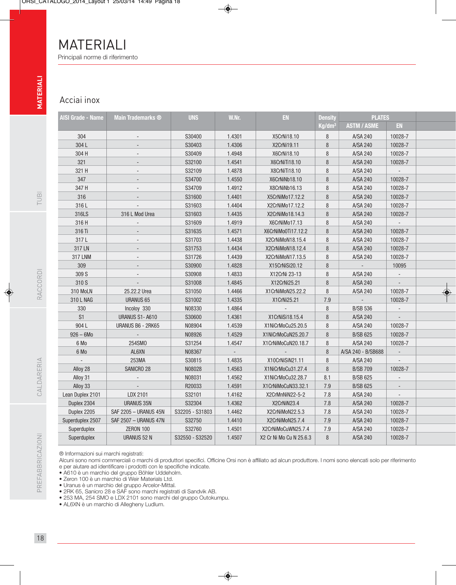## MATERIALI Principali norme di riferimento

## Acciai inox

| AISI Grade - Name | <b>Main Trademarks ®</b> | <b>UNS</b>      | W.Nr.  | EN                      | <b>Density</b>     | <b>PLATES</b>      |                          |
|-------------------|--------------------------|-----------------|--------|-------------------------|--------------------|--------------------|--------------------------|
|                   |                          |                 |        |                         | Kg/dm <sup>3</sup> | <b>ASTM / ASME</b> | <b>EN</b>                |
| 304               |                          | S30400          | 1.4301 | X5CrNi18.10             | 8<br>A/SA 240      |                    | 10028-7                  |
| 304L              |                          | S30403          | 1.4306 | X2CrNi19.11             | 8                  | A/SA 240           | 10028-7                  |
| 304 H             |                          | S30409          | 1.4948 | X6CrNi18.10             | 8                  | A/SA 240           | 10028-7                  |
| 321               |                          | S32100          | 1.4541 | X6CrNiTi18.10           | 8                  | A/SA 240           | 10028-7                  |
| 321 H             |                          | S32109          | 1.4878 | X8CrNiTi18.10           | 8                  | A/SA 240           |                          |
| 347               |                          | S34700          | 1.4550 | X6CrNiNb18.10           | $\, 8$             | A/SA 240           | 10028-7                  |
| 347 H             |                          | S34709          | 1.4912 | X8CrNiNb16.13           | 8                  | A/SA 240           | 10028-7                  |
| 316               |                          | S31600          | 1.4401 | X5CrNiMo17.12.2         | 8                  | A/SA 240           | 10028-7                  |
| 316L              |                          | S31603          | 1.4404 | X2CrNiMo17.12.2         | 8                  | A/SA 240           | 10028-7                  |
| 316LS             | 316 L Mod Urea           | S31603          | 1.4435 | X2CrNiMo18.14.3         | 8                  | A/SA 240           | 10028-7                  |
| 316 H             |                          | S31609          | 1.4919 | X6CrNiMo17.13           | 8                  | A/SA 240           | $\Box$                   |
| 316 Ti            |                          | S31635          | 1.4571 | X6CrNiMo0Ti17.12.2      | $\, 8$             | A/SA 240           | 10028-7                  |
| 317L              |                          | S31703          | 1.4438 | X2CrNiMoN18.15.4        | 8                  | A/SA 240           | 10028-7                  |
| 317 LN            |                          | S31753          | 1.4434 | X2CrNiMoN18.12.4        | 8                  | A/SA 240           | 10028-7                  |
| <b>317 LNM</b>    |                          | S31726          | 1.4439 | X2CrNiMoN17.13.5        | 8                  | A/SA 240           | 10028-7                  |
| 309               |                          | S30900          | 1.4828 | X15CrNiSi20.12          | 8                  |                    | 10095                    |
| 309 S             |                          | S30908          | 1.4833 | X12CrNi 23-13           | 8                  | A/SA 240           | $\overline{\phantom{a}}$ |
| 310 S             |                          | S31008          | 1.4845 | X12CrNi25.21            | 8                  | A/SA 240           |                          |
| 310 MoLN          | 25.22.2 Urea             | S31050          | 1.4466 | X1CrNiMoN25.22.2        | 8                  | A/SA 240           | 10028-7                  |
| 310 L NAG         | <b>URANUS 65</b>         | S31002          | 1.4335 | X1CrNi25.21             | $7.9\,$            |                    | 10028-7                  |
| 330               | Incoloy 330              | N08330          | 1.4864 |                         | 8                  | <b>B/SB 536</b>    |                          |
| S1                | URANUS S1-A610           | S30600          | 1.4361 | X1CrNiSi18.15.4         | 8                  | A/SA 240           | $\overline{a}$           |
| 904L              | URANUS B6 - 2RK65        | N08904          | 1.4539 | X1NiCrMoCu25.20.5       | 8                  | A/SA 240           | 10028-7                  |
| $926 - 6M0$       | $\overline{a}$           | N08926          | 1.4529 | X1NiCrMoCuN25.20.7      | 8                  | <b>B/SB 625</b>    | 10028-7                  |
| 6 Mo              | 254SM0                   | S31254          | 1.4547 | X1CrNiMoCuN20.18.7      | 8                  | A/SA 240           | 10028-7                  |
| 6 Mo              | AL6XN                    | N08367          |        |                         | 8                  | A/SA 240 - B/SB688 |                          |
|                   | 253MA                    | S30815          | 1.4835 | X10CrNiSiN21.11         | 8                  | A/SA 240           |                          |
| Alloy 28          | SANICRO 28               | N08028          | 1.4563 | X1NiCrMoCu31.27.4       | 8                  | <b>B/SB 709</b>    | 10028-7                  |
| Alloy 31          |                          | N08031          | 1.4562 | X1NiCrMoCu32.28.7       | 8.1                | <b>B/SB 625</b>    |                          |
| Alloy 33          | $\overline{\phantom{a}}$ | R20033          | 1.4591 | X1CrNiMoCuN33.32.1      | 7.9                | <b>B/SB 625</b>    |                          |
| Lean Duplex 2101  | LDX 2101                 | S32101          | 1.4162 | X2CrMnNiN22-5-2         | 7.8                | A/SA 240           | $\overline{\phantom{a}}$ |
| Duplex 2304       | <b>URANUS 35N</b>        | S32304          | 1.4362 | X2CrNiN23.4             | 7.8                | A/SA 240           | 10028-7                  |
| Duplex 2205       | SAF 2205 - URANUS 45N    | S32205 - S31803 | 1.4462 | X2CrNiMoN22.5.3         | $7.8\,$            | A/SA 240           | 10028-7                  |
| Superduplex 2507  | SAF 2507 - URANUS 47N    | S32750          | 1.4410 | X2CrNiMoN25.7.4         | $7.9\,$            | A/SA 240           | 10028-7                  |
| Superduplex       | <b>ZERON 100</b>         | S32760          | 1.4501 | X2CrNiMoCuWN25.7.4      | $7.9\,$            | A/SA 240           | 10028-7                  |
| Superduplex       | <b>URANUS 52 N</b>       | S32550 - S32520 | 1.4507 | X2 Cr Ni Mo Cu N 25.6.3 | 8                  | A/SA 240           | 10028-7                  |

® Informazioni sui marchi registrati:

Alcuni sono nomi commerciali o marchi di produttori specifici. Officine Orsi non è affiliato ad alcun produttore. I nomi sono elencati solo per riferimento e per aiutare ad identificare i prodotti con le specifiche indicate.

- A610 è un marchio del gruppo Böhler Uddeholm.
- Zeron 100 è un marchio di Weir Materials Ltd.
- Uranus è un marchio del gruppo Arcelor-Mittal.
- 2RK 65, Sanicro 28 e SAF sono marchi registrati di Sandvik AB.
- 253 MA, 254 SMO e LDX 2101 sono marchi del gruppo Outokumpu.
- AL6XN è un marchio di Allegheny Ludlum.